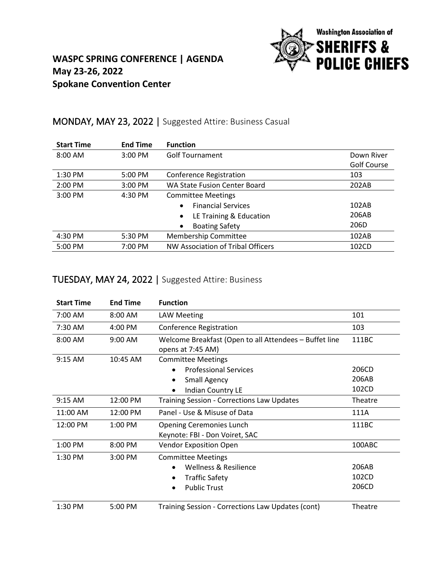

#### **WASPC SPRING CONFERENCE | AGENDA May 23-26, 2022 Spokane Convention Center**

#### MONDAY, MAY 23, 2022 | Suggested Attire: Business Casual

| <b>Start Time</b> | <b>End Time</b> | <b>Function</b>                      |             |
|-------------------|-----------------|--------------------------------------|-------------|
| 8:00 AM           | $3:00$ PM       | <b>Golf Tournament</b>               | Down River  |
|                   |                 |                                      | Golf Course |
| 1:30 PM           | 5:00 PM         | <b>Conference Registration</b>       | 103         |
| 2:00 PM           | 3:00 PM         | <b>WA State Fusion Center Board</b>  | 202AB       |
| 3:00 PM           | 4:30 PM         | <b>Committee Meetings</b>            |             |
|                   |                 | <b>Financial Services</b>            | 102AB       |
|                   |                 | LE Training & Education<br>$\bullet$ | 206AB       |
|                   |                 | <b>Boating Safety</b><br>$\bullet$   | 206D        |
| 4:30 PM           | 5:30 PM         | Membership Committee                 | 102AB       |
| 5:00 PM           | 7:00 PM         | NW Association of Tribal Officers    | 102CD       |

## TUESDAY, MAY 24, 2022 | Suggested Attire: Business

| <b>Start Time</b> | <b>End Time</b> | <b>Function</b>                                                                                                                                     |                         |
|-------------------|-----------------|-----------------------------------------------------------------------------------------------------------------------------------------------------|-------------------------|
| 7:00 AM           | 8:00 AM         | <b>LAW Meeting</b>                                                                                                                                  | 101                     |
| 7:30 AM           | 4:00 PM         | <b>Conference Registration</b>                                                                                                                      | 103                     |
| 8:00 AM           | 9:00 AM         | Welcome Breakfast (Open to all Attendees - Buffet line<br>opens at 7:45 AM)                                                                         | 111BC                   |
| 9:15 AM           | 10:45 AM        | <b>Committee Meetings</b><br><b>Professional Services</b><br>$\bullet$<br><b>Small Agency</b><br>$\bullet$<br><b>Indian Country LE</b><br>$\bullet$ | 206CD<br>206AB<br>102CD |
| $9:15$ AM         | 12:00 PM        | <b>Training Session - Corrections Law Updates</b>                                                                                                   | Theatre                 |
| 11:00 AM          | 12:00 PM        | Panel - Use & Misuse of Data                                                                                                                        | 111A                    |
| 12:00 PM          | 1:00 PM         | <b>Opening Ceremonies Lunch</b><br>Keynote: FBI - Don Voiret, SAC                                                                                   | 111BC                   |
| 1:00 PM           | 8:00 PM         | <b>Vendor Exposition Open</b>                                                                                                                       | 100ABC                  |
| 1:30 PM           | 3:00 PM         | <b>Committee Meetings</b><br>Wellness & Resilience<br><b>Traffic Safety</b><br><b>Public Trust</b><br>$\bullet$                                     | 206AB<br>102CD<br>206CD |
| 1:30 PM           | 5:00 PM         | Training Session - Corrections Law Updates (cont)                                                                                                   | Theatre                 |